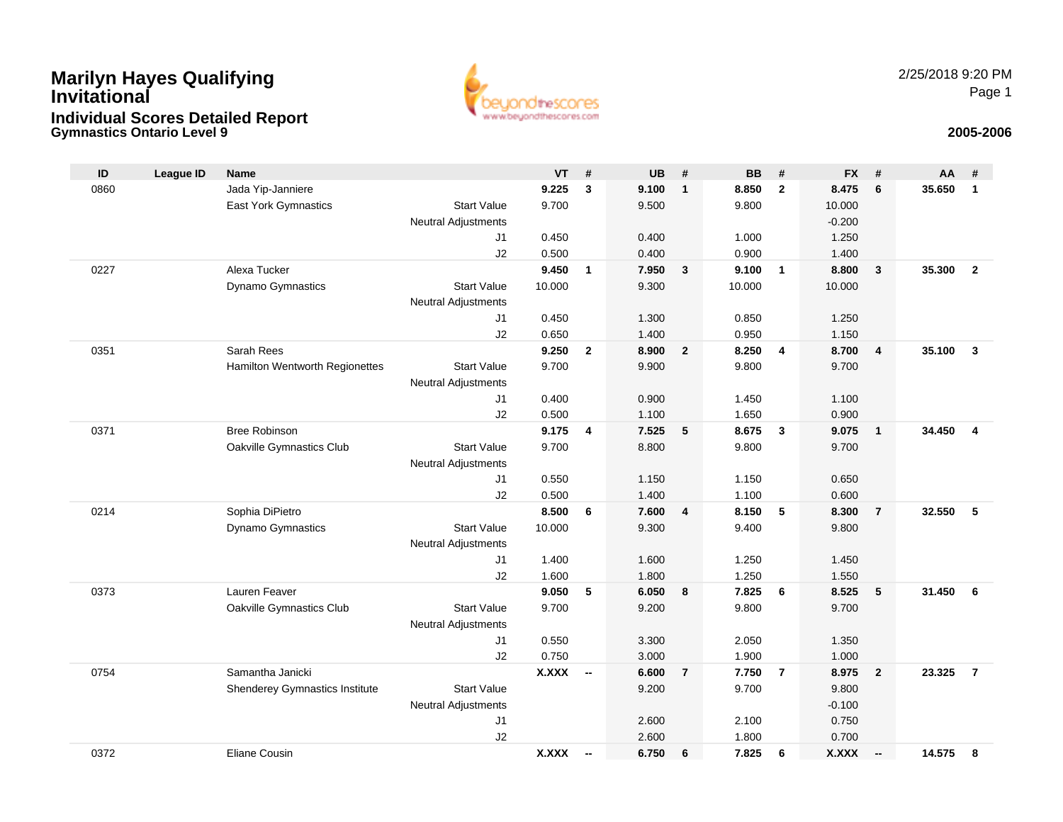# **Gymnastics Ontario Level 9 2005-2006 Marilyn Hayes Qualifying InvitationalIndividual Scores Detailed Report**



| ID   | <b>League ID</b> | <b>Name</b>                    |                                  | <b>VT</b>    | #                        | <b>UB</b> | #              | <b>BB</b> | #              | <b>FX</b> | #                        | AA     | #              |
|------|------------------|--------------------------------|----------------------------------|--------------|--------------------------|-----------|----------------|-----------|----------------|-----------|--------------------------|--------|----------------|
| 0860 |                  | Jada Yip-Janniere              |                                  | 9.225        | 3                        | 9.100     | $\mathbf{1}$   | 8.850     | $\overline{2}$ | 8.475     | 6                        | 35.650 | $\mathbf{1}$   |
|      |                  | East York Gymnastics           | <b>Start Value</b>               | 9.700        |                          | 9.500     |                | 9.800     |                | 10.000    |                          |        |                |
|      |                  |                                | <b>Neutral Adjustments</b>       |              |                          |           |                |           |                | $-0.200$  |                          |        |                |
|      |                  |                                | J <sub>1</sub>                   | 0.450        |                          | 0.400     |                | 1.000     |                | 1.250     |                          |        |                |
|      |                  |                                | J2                               | 0.500        |                          | 0.400     |                | 0.900     |                | 1.400     |                          |        |                |
| 0227 |                  | Alexa Tucker                   |                                  | 9.450        | $\mathbf{1}$             | 7.950     | 3              | 9.100     | $\overline{1}$ | 8.800     | $\mathbf{3}$             | 35.300 | $\overline{2}$ |
|      |                  | Dynamo Gymnastics              | <b>Start Value</b>               | 10.000       |                          | 9.300     |                | 10.000    |                | 10.000    |                          |        |                |
|      |                  |                                | <b>Neutral Adjustments</b>       |              |                          |           |                |           |                |           |                          |        |                |
|      |                  |                                | J <sub>1</sub>                   | 0.450        |                          | 1.300     |                | 0.850     |                | 1.250     |                          |        |                |
|      |                  |                                | J2                               | 0.650        |                          | 1.400     |                | 0.950     |                | 1.150     |                          |        |                |
| 0351 |                  | Sarah Rees                     |                                  | 9.250        | $\overline{2}$           | 8.900     | $\overline{2}$ | 8.250     | 4              | 8.700     | $\overline{4}$           | 35.100 | $\mathbf{3}$   |
|      |                  | Hamilton Wentworth Regionettes | <b>Start Value</b>               | 9.700        |                          | 9.900     |                | 9.800     |                | 9.700     |                          |        |                |
|      |                  |                                | <b>Neutral Adjustments</b><br>J1 | 0.400        |                          | 0.900     |                | 1.450     |                | 1.100     |                          |        |                |
|      |                  |                                | J2                               | 0.500        |                          | 1.100     |                | 1.650     |                | 0.900     |                          |        |                |
| 0371 |                  | <b>Bree Robinson</b>           |                                  | 9.175        | 4                        | 7.525     | 5              | 8.675     | $\mathbf{3}$   | 9.075     | $\overline{1}$           | 34.450 | $\overline{4}$ |
|      |                  | Oakville Gymnastics Club       | <b>Start Value</b>               | 9.700        |                          | 8.800     |                | 9.800     |                | 9.700     |                          |        |                |
|      |                  |                                | <b>Neutral Adjustments</b>       |              |                          |           |                |           |                |           |                          |        |                |
|      |                  |                                | J1                               | 0.550        |                          | 1.150     |                | 1.150     |                | 0.650     |                          |        |                |
|      |                  |                                | J2                               | 0.500        |                          | 1.400     |                | 1.100     |                | 0.600     |                          |        |                |
| 0214 |                  | Sophia DiPietro                |                                  | 8.500        | 6                        | 7.600     | $\overline{4}$ | 8.150     | 5              | 8.300     | $\overline{7}$           | 32.550 | 5              |
|      |                  | Dynamo Gymnastics              | <b>Start Value</b>               | 10.000       |                          | 9.300     |                | 9.400     |                | 9.800     |                          |        |                |
|      |                  |                                | <b>Neutral Adjustments</b>       |              |                          |           |                |           |                |           |                          |        |                |
|      |                  |                                | J <sub>1</sub>                   | 1.400        |                          | 1.600     |                | 1.250     |                | 1.450     |                          |        |                |
|      |                  |                                | J2                               | 1.600        |                          | 1.800     |                | 1.250     |                | 1.550     |                          |        |                |
| 0373 |                  | Lauren Feaver                  |                                  | 9.050        | 5                        | 6.050     | 8              | 7.825     | 6              | 8.525     | 5                        | 31.450 | 6              |
|      |                  | Oakville Gymnastics Club       | <b>Start Value</b>               | 9.700        |                          | 9.200     |                | 9.800     |                | 9.700     |                          |        |                |
|      |                  |                                | <b>Neutral Adjustments</b>       |              |                          |           |                |           |                |           |                          |        |                |
|      |                  |                                | J <sub>1</sub>                   | 0.550        |                          | 3.300     |                | 2.050     |                | 1.350     |                          |        |                |
|      |                  |                                | J2                               | 0.750        |                          | 3.000     |                | 1.900     |                | 1.000     |                          |        |                |
| 0754 |                  | Samantha Janicki               |                                  | <b>X.XXX</b> | $\overline{\phantom{a}}$ | 6.600     | $\overline{7}$ | 7.750     | $\overline{7}$ | 8.975     | $\overline{2}$           | 23.325 | $\overline{7}$ |
|      |                  | Shenderey Gymnastics Institute | <b>Start Value</b>               |              |                          | 9.200     |                | 9.700     |                | 9.800     |                          |        |                |
|      |                  |                                | <b>Neutral Adjustments</b>       |              |                          |           |                |           |                | $-0.100$  |                          |        |                |
|      |                  |                                | J <sub>1</sub>                   |              |                          | 2.600     |                | 2.100     |                | 0.750     |                          |        |                |
|      |                  |                                | J2                               |              |                          | 2.600     |                | 1.800     |                | 0.700     |                          |        |                |
| 0372 |                  | <b>Eliane Cousin</b>           |                                  | <b>X.XXX</b> | $\overline{\phantom{a}}$ | 6.750     | 6              | 7.825     | 6              | X.XXX     | $\overline{\phantom{a}}$ | 14.575 | 8              |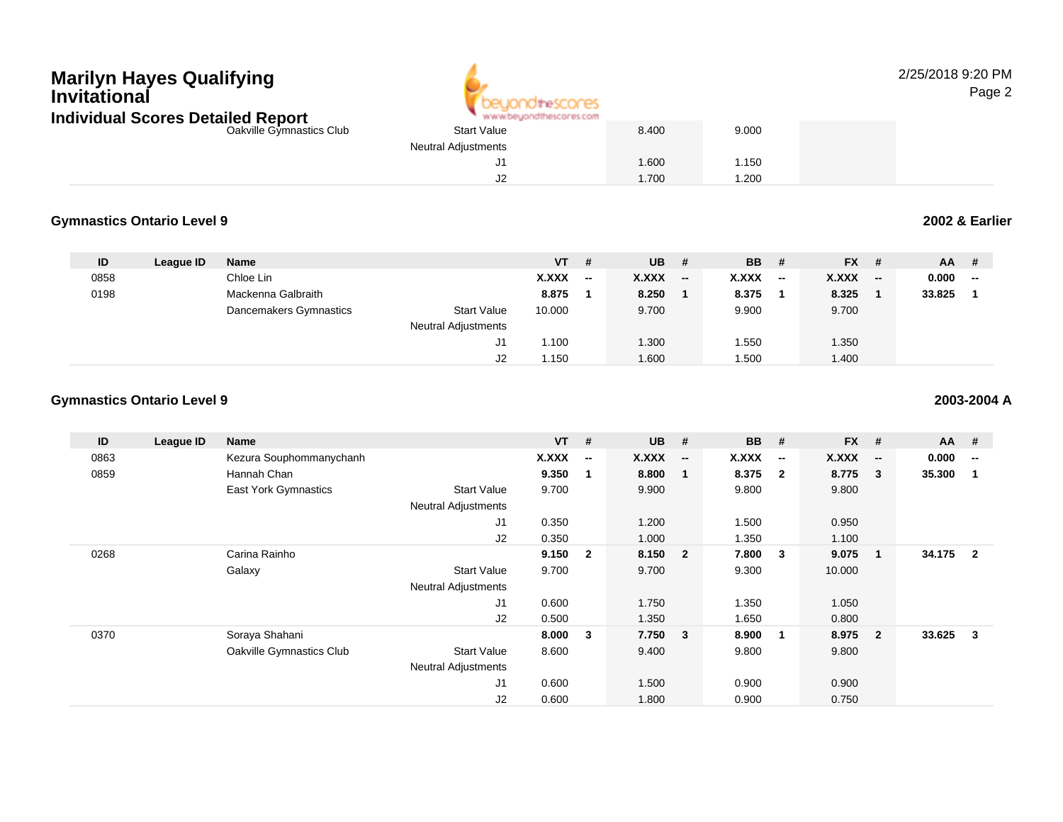## **Marilyn Hayes QualifyingInvitationalIndividual Scores Detailed Report**



2/25/2018 9:20 PMPage 2

| Individual Scores Detailed Report | www.beyondthescores.com    |       |       |  |
|-----------------------------------|----------------------------|-------|-------|--|
| Oakville Gymnastics Club          | <b>Start Value</b>         | 8.400 | 9.000 |  |
|                                   | <b>Neutral Adjustments</b> |       |       |  |
|                                   |                            | .600  | .150  |  |
|                                   | J2                         | .700  | .200  |  |

### **Gymnastics Ontario Level 92002 & Earlier**

**ID League ID Name VT # UB # BB # FX # AA #** 08588 Chloe Lin **X.XXX -- X.XXX -- X.XXX -- X.XXX -- 0.000 --** 0198 Mackenna Galbraith **8.875 <sup>1</sup> 8.250 <sup>1</sup> 8.375 <sup>1</sup> 8.325 <sup>1</sup> 33.825 <sup>1</sup>** Dancemakers Gymnastics Start Value 10.000 9.700 9.900 9.700 Neutral Adjustments J1 1.100 1.300 1.550 1.350 J21.150 1.600 1.500 1.400

### **Gymnastics Ontario Level 9**

**ID League ID Name VT # UB # BB # FX # AA #** 0863Kezura Souphommanychanh **X.XXX**<br>Hannah Chan **X.XXX** Hannah Chan **-- X.XXX -- X.XXX -- X.XXX -- 0.000 --** 0859 Hannah Chan **9.350 <sup>1</sup> 8.800 <sup>1</sup> 8.375 <sup>2</sup> 8.775 <sup>3</sup> 35.300 <sup>1</sup>** East York Gymnastics Start Value 9.700 9.900 9.800 9.800 Neutral Adjustments J1 0.350 1.200 1.500 0.950 J2 0.350 1.000 1.350 1.100 0268 Carina Rainho **9.150 <sup>2</sup> 8.150 <sup>2</sup> 7.800 <sup>3</sup> 9.075 <sup>1</sup> 34.175 <sup>2</sup>** Galaxy Start Value 9.700 9.700 9.300 10.000 Neutral Adjustments J1 0.600 1.750 1.350 1.050 J2 0.500 1.350 1.650 0.800 0370 Soraya Shahani **8.000 <sup>3</sup> 7.750 <sup>3</sup> 8.900 <sup>1</sup> 8.975 <sup>2</sup> 33.625 <sup>3</sup>** Oakville Gymnastics Club Start Value 8.600 9.400 9.800 9.800 Neutral Adjustments J1 0.600 1.500 0.900 0.900 J20.600 1.800 0.900 0.750

**2003-2004 A**